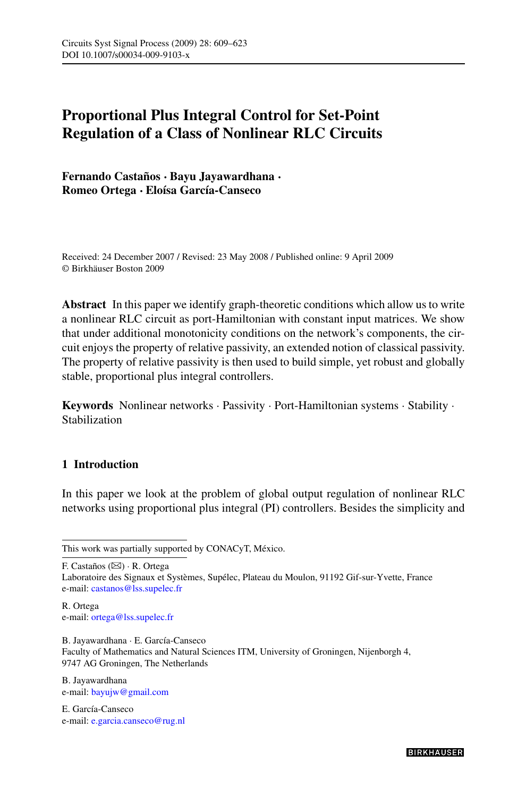# **Proportional Plus Integral Control for Set-Point Regulation of a Class of Nonlinear RLC Circuits**

**Fernando Castaños · Bayu Jayawardhana · Romeo Ortega · Eloísa García-Canseco**

Received: 24 December 2007 / Revised: 23 May 2008 / Published online: 9 April 2009 © Birkhäuser Boston 2009

**Abstract** In this paper we identify graph-theoretic conditions which allow us to write a nonlinear RLC circuit as port-Hamiltonian with constant input matrices. We show that under additional monotonicity conditions on the network's components, the circuit enjoys the property of relative passivity, an extended notion of classical passivity. The property of relative passivity is then used to build simple, yet robust and globally stable, proportional plus integral controllers.

**Keywords** Nonlinear networks · Passivity · Port-Hamiltonian systems · Stability · Stabilization

# **1 Introduction**

In this paper we look at the problem of global output regulation of nonlinear RLC networks using proportional plus integral (PI) controllers. Besides the simplicity and

F. Castaños (⊠) · R. Ortega

Laboratoire des Signaux et Systèmes, Supélec, Plateau du Moulon, 91192 Gif-sur-Yvette, France e-mail: [castanos@lss.supelec.fr](mailto:castanos@lss.supelec.fr)

R. Ortega e-mail: [ortega@lss.supelec.fr](mailto:ortega@lss.supelec.fr)

B. Jayawardhana · E. García-Canseco Faculty of Mathematics and Natural Sciences ITM, University of Groningen, Nijenborgh 4, 9747 AG Groningen, The Netherlands

B. Jayawardhana e-mail: [bayujw@gmail.com](mailto:bayujw@gmail.com)

E. García-Canseco e-mail: [e.garcia.canseco@rug.nl](mailto:e.garcia.canseco@rug.nl)

This work was partially supported by CONACyT, México.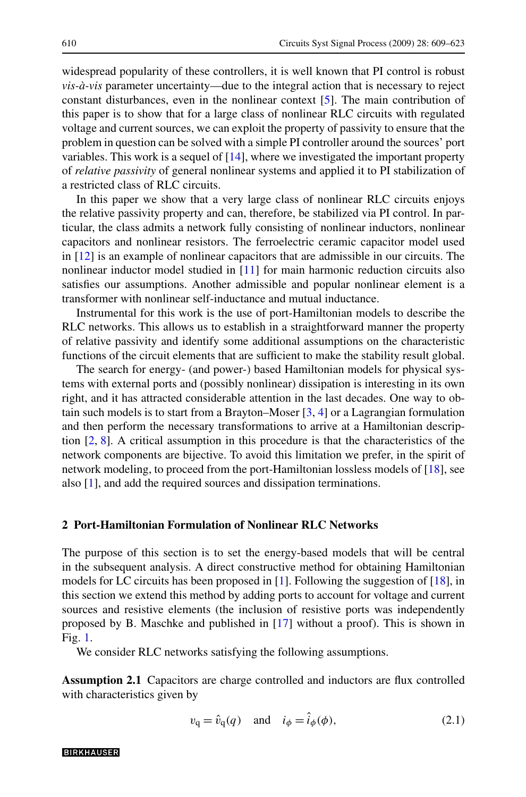<span id="page-1-0"></span>widespread popularity of these controllers, it is well known that PI control is robust *vis-à-vis* parameter uncertainty—due to the integral action that is necessary to reject constant disturbances, even in the nonlinear context [\[5](#page-13-0)]. The main contribution of this paper is to show that for a large class of nonlinear RLC circuits with regulated voltage and current sources, we can exploit the property of passivity to ensure that the problem in question can be solved with a simple PI controller around the sources' port variables. This work is a sequel of [[14](#page-14-0)], where we investigated the important property of *relative passivity* of general nonlinear systems and applied it to PI stabilization of a restricted class of RLC circuits.

In this paper we show that a very large class of nonlinear RLC circuits enjoys the relative passivity property and can, therefore, be stabilized via PI control. In particular, the class admits a network fully consisting of nonlinear inductors, nonlinear capacitors and nonlinear resistors. The ferroelectric ceramic capacitor model used in [[12\]](#page-14-0) is an example of nonlinear capacitors that are admissible in our circuits. The nonlinear inductor model studied in [[11\]](#page-14-0) for main harmonic reduction circuits also satisfies our assumptions. Another admissible and popular nonlinear element is a transformer with nonlinear self-inductance and mutual inductance.

Instrumental for this work is the use of port-Hamiltonian models to describe the RLC networks. This allows us to establish in a straightforward manner the property of relative passivity and identify some additional assumptions on the characteristic functions of the circuit elements that are sufficient to make the stability result global.

The search for energy- (and power-) based Hamiltonian models for physical systems with external ports and (possibly nonlinear) dissipation is interesting in its own right, and it has attracted considerable attention in the last decades. One way to obtain such models is to start from a Brayton–Moser [[3,](#page-13-0) [4\]](#page-13-0) or a Lagrangian formulation and then perform the necessary transformations to arrive at a Hamiltonian description [[2,](#page-13-0) [8\]](#page-14-0). A critical assumption in this procedure is that the characteristics of the network components are bijective. To avoid this limitation we prefer, in the spirit of network modeling, to proceed from the port-Hamiltonian lossless models of [[18\]](#page-14-0), see also [[1\]](#page-13-0), and add the required sources and dissipation terminations.

### **2 Port-Hamiltonian Formulation of Nonlinear RLC Networks**

The purpose of this section is to set the energy-based models that will be central in the subsequent analysis. A direct constructive method for obtaining Hamiltonian models for LC circuits has been proposed in [[1\]](#page-13-0). Following the suggestion of [[18\]](#page-14-0), in this section we extend this method by adding ports to account for voltage and current sources and resistive elements (the inclusion of resistive ports was independently proposed by B. Maschke and published in [\[17](#page-14-0)] without a proof). This is shown in Fig. [1](#page-2-0).

We consider RLC networks satisfying the following assumptions.

**Assumption 2.1** Capacitors are charge controlled and inductors are flux controlled with characteristics given by

$$
v_{\mathbf{q}} = \hat{v}_{\mathbf{q}}(q) \quad \text{and} \quad i_{\phi} = \hat{i}_{\phi}(\phi), \tag{2.1}
$$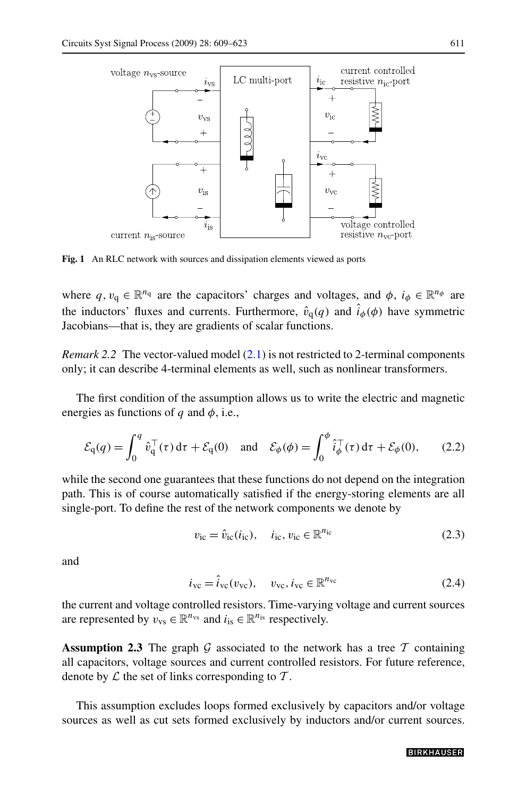<span id="page-2-0"></span>

**Fig. 1** An RLC network with sources and dissipation elements viewed as ports

where  $q, v_q \in \mathbb{R}^{n_q}$  are the capacitors' charges and voltages, and  $\phi$ ,  $i_{\phi} \in \mathbb{R}^{n_{\phi}}$  are the inductors' fluxes and currents. Furthermore,  $\hat{v}_q(q)$  and  $\hat{i}_{\phi}(\phi)$  have symmetric Jacobians—that is, they are gradients of scalar functions.

*Remark 2.2* The vector-valued model  $(2.1)$  is not restricted to 2-terminal components only; it can describe 4-terminal elements as well, such as nonlinear transformers.

The first condition of the assumption allows us to write the electric and magnetic energies as functions of *q* and *φ*, i.e.,

$$
\mathcal{E}_{q}(q) = \int_{0}^{q} \hat{v}_{q}^{\top}(\tau) d\tau + \mathcal{E}_{q}(0) \quad \text{and} \quad \mathcal{E}_{\phi}(\phi) = \int_{0}^{\phi} \hat{i}_{\phi}^{\top}(\tau) d\tau + \mathcal{E}_{\phi}(0), \tag{2.2}
$$

while the second one guarantees that these functions do not depend on the integration path. This is of course automatically satisfied if the energy-storing elements are all single-port. To define the rest of the network components we denote by

$$
v_{\rm ic} = \hat{v}_{\rm ic}(i_{\rm ic}), \quad i_{\rm ic}, v_{\rm ic} \in \mathbb{R}^{n_{\rm ic}}
$$
 (2.3)

and

$$
i_{\rm vc} = \hat{i}_{\rm vc}(v_{\rm vc}), \quad v_{\rm vc}, i_{\rm vc} \in \mathbb{R}^{n_{\rm vc}} \tag{2.4}
$$

the current and voltage controlled resistors. Time-varying voltage and current sources are represented by  $v_{\text{vs}} \in \mathbb{R}^{n_{\text{vs}}}$  and  $i_{\text{is}} \in \mathbb{R}^{n_{\text{is}}}$  respectively.

**Assumption 2.3** The graph G associated to the network has a tree  $T$  containing all capacitors, voltage sources and current controlled resistors. For future reference, denote by  $\mathcal L$  the set of links corresponding to  $\mathcal T$ .

This assumption excludes loops formed exclusively by capacitors and/or voltage sources as well as cut sets formed exclusively by inductors and/or current sources.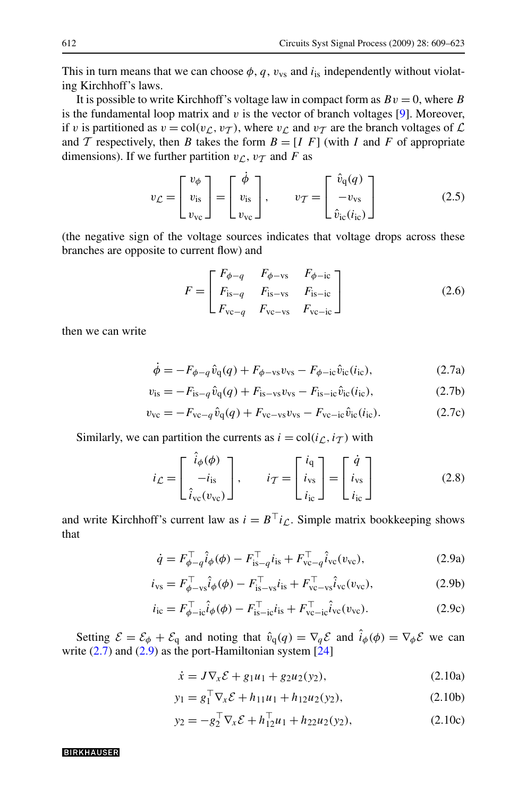<span id="page-3-0"></span>This in turn means that we can choose  $\phi$ ,  $q$ ,  $v_{vs}$  and  $i_{is}$  independently without violating Kirchhoff's laws.

It is possible to write Kirchhoff's voltage law in compact form as  $Bv = 0$ , where *B* is the fundamental loop matrix and *v* is the vector of branch voltages [\[9\]](#page-14-0). Moreover, if *v* is partitioned as  $v = \text{col}(v_L, v_T)$ , where  $v_L$  and  $v_T$  are the branch voltages of  $\mathcal L$ and T respectively, then *B* takes the form  $B = [I \ F]$  (with *I* and *F* of appropriate dimensions). If we further partition  $v_{\mathcal{L}}$ ,  $v_{\mathcal{T}}$  and *F* as

$$
v_{\mathcal{L}} = \begin{bmatrix} v_{\phi} \\ v_{\text{is}} \\ v_{\text{vc}} \end{bmatrix} = \begin{bmatrix} \dot{\phi} \\ v_{\text{is}} \\ v_{\text{vc}} \end{bmatrix}, \qquad v_{\mathcal{T}} = \begin{bmatrix} \hat{v}_{q}(q) \\ -v_{\text{vs}} \\ \hat{v}_{\text{ic}}(i_{\text{ic}}) \end{bmatrix}
$$
(2.5)

(the negative sign of the voltage sources indicates that voltage drops across these branches are opposite to current flow) and

$$
F = \begin{bmatrix} F_{\phi-q} & F_{\phi-\text{vs}} & F_{\phi-\text{ic}} \\ F_{\text{is}-q} & F_{\text{is}-\text{vs}} & F_{\text{is}-\text{ic}} \\ F_{\text{vc}-q} & F_{\text{vc}-\text{vs}} & F_{\text{vc}-\text{ic}} \end{bmatrix}
$$
(2.6)

then we can write

$$
\dot{\phi} = -F_{\phi-q}\hat{v}_q(q) + F_{\phi-\text{vs}}v_{\text{vs}} - F_{\phi-\text{ic}}\hat{v}_{\text{ic}}(i_{\text{ic}}),\tag{2.7a}
$$

$$
v_{\rm is} = -F_{\rm is-q}\hat{v}_{\rm q}(q) + F_{\rm is-vs}v_{\rm vs} - F_{\rm is-ic}\hat{v}_{\rm ic}(i_{\rm ic}),\tag{2.7b}
$$

$$
v_{\rm vc} = -F_{\rm vc-q} \hat{v}_{\rm q}(q) + F_{\rm vc-s} v_{\rm vs} - F_{\rm vc-i c} \hat{v}_{\rm ic}(i_{\rm ic}). \tag{2.7c}
$$

Similarly, we can partition the currents as  $i = col(i_{\mathcal{L}}, i_{\mathcal{T}})$  with

$$
i_{\mathcal{L}} = \begin{bmatrix} \hat{i}_{\phi}(\phi) \\ -i_{\text{is}} \\ \hat{i}_{\text{vc}}(v_{\text{vc}}) \end{bmatrix}, \qquad i_{\mathcal{T}} = \begin{bmatrix} i_{\text{q}} \\ i_{\text{vs}} \\ i_{\text{ic}} \end{bmatrix} = \begin{bmatrix} \dot{q} \\ i_{\text{vs}} \\ i_{\text{ic}} \end{bmatrix}
$$
(2.8)

and write Kirchhoff's current law as  $i = B^{\top}i_C$ . Simple matrix bookkeeping shows that

$$
\dot{q} = F_{\phi - q}^{\top} \hat{i}_{\phi}(\phi) - F_{\text{is}-q}^{\top} i_{\text{is}} + F_{\text{vc}-q}^{\top} \hat{i}_{\text{vc}}(v_{\text{vc}}),
$$
\n(2.9a)

$$
i_{\rm vs} = F_{\phi - \rm vs}^{\top} \hat{i}_{\phi}(\phi) - F_{\rm is - vs}^{\top} i_{\rm is} + F_{\rm vc - vs}^{\top} \hat{i}_{\rm vc}(\upsilon_{\rm vc}), \tag{2.9b}
$$

$$
i_{\rm ic} = F_{\phi - \rm ic}^{\rm T} \hat{i}_{\phi}(\phi) - F_{\rm is - \rm ic}^{\rm T} i_{\rm is} + F_{\rm vc - \rm ic}^{\rm T} \hat{i}_{\rm vc}(v_{\rm vc}). \tag{2.9c}
$$

Setting  $\mathcal{E} = \mathcal{E}_{\phi} + \mathcal{E}_{q}$  and noting that  $\hat{v}_{q}(q) = \nabla_{q} \mathcal{E}$  and  $\hat{i}_{\phi}(\phi) = \nabla_{\phi} \mathcal{E}$  we can write  $(2.7)$  and  $(2.9)$  as the port-Hamiltonian system  $[24]$  $[24]$ 

$$
\dot{x} = J \nabla_x \mathcal{E} + g_1 u_1 + g_2 u_2(y_2), \tag{2.10a}
$$

$$
y_1 = g_1^\top \nabla_x \mathcal{E} + h_{11} u_1 + h_{12} u_2(y_2), \tag{2.10b}
$$

$$
y_2 = -g_2^{\top} \nabla_x \mathcal{E} + h_{12}^{\top} u_1 + h_{22} u_2(y_2), \qquad (2.10c)
$$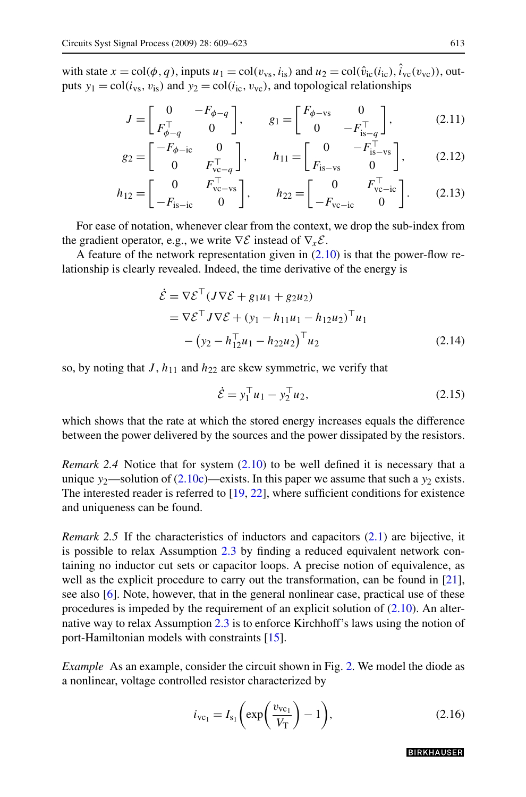*g*<sup>2</sup> =

<span id="page-4-0"></span>with state  $x = \text{col}(\phi, q)$ , inputs  $u_1 = \text{col}(v_{\text{vs}}, i_{\text{is}})$  and  $u_2 = \text{col}(\hat{v}_{\text{ic}}(i_{\text{ic}}), \hat{i}_{\text{vc}}(v_{\text{vc}}))$ , outputs  $y_1 = \text{col}(i_{\text{vs}}, v_{\text{is}})$  and  $y_2 = \text{col}(i_{\text{ic}}, v_{\text{vc}})$ , and topological relationships

$$
J = \begin{bmatrix} 0 & -F_{\phi-q} \\ F_{\phi-q}^{\top} & 0 \end{bmatrix}, \qquad g_1 = \begin{bmatrix} F_{\phi-\text{vs}} & 0 \\ 0 & -F_{\text{is}-q}^{\top} \end{bmatrix}, \tag{2.11}
$$

$$
= \begin{bmatrix} -F_{\phi-\mathrm{ic}} & 0\\ 0 & F_{\mathrm{vc}-q}^{\top} \end{bmatrix}, \qquad h_{11} = \begin{bmatrix} 0 & -F_{\mathrm{is}-\mathrm{vs}}^{\top}\\ F_{\mathrm{is}-\mathrm{vs}} & 0 \end{bmatrix}, \tag{2.12}
$$

$$
h_{12} = \begin{bmatrix} 0 & F_{\text{vc}-\text{vs}}^{\top} \\ -F_{\text{is}-\text{ic}} & 0 \end{bmatrix}, \qquad h_{22} = \begin{bmatrix} 0 & F_{\text{vc}-\text{ic}}^{\top} \\ -F_{\text{vc}-\text{ic}} & 0 \end{bmatrix}.
$$
 (2.13)

For ease of notation, whenever clear from the context, we drop the sub-index from the gradient operator, e.g., we write  $\nabla \mathcal{E}$  instead of  $\nabla_x \mathcal{E}$ .

A feature of the network representation given in  $(2.10)$  $(2.10)$  is that the power-flow relationship is clearly revealed. Indeed, the time derivative of the energy is

$$
\dot{\mathcal{E}} = \nabla \mathcal{E}^\top (J \nabla \mathcal{E} + g_1 u_1 + g_2 u_2) \n= \nabla \mathcal{E}^\top J \nabla \mathcal{E} + (y_1 - h_{11} u_1 - h_{12} u_2)^\top u_1 \n- (y_2 - h_{12}^\top u_1 - h_{22} u_2)^\top u_2
$$
\n(2.14)

so, by noting that  $J$ ,  $h_{11}$  and  $h_{22}$  are skew symmetric, we verify that

$$
\dot{\mathcal{E}} = y_1^\top u_1 - y_2^\top u_2,\tag{2.15}
$$

which shows that the rate at which the stored energy increases equals the difference between the power delivered by the sources and the power dissipated by the resistors.

*Remark 2.4* Notice that for system [\(2.10](#page-3-0)) to be well defined it is necessary that a unique  $y_2$ —solution of ([2.10c](#page-3-0))—exists. In this paper we assume that such a  $y_2$  exists. The interested reader is referred to  $[19, 22]$  $[19, 22]$  $[19, 22]$  $[19, 22]$  $[19, 22]$ , where sufficient conditions for existence and uniqueness can be found.

*Remark 2.5* If the characteristics of inductors and capacitors ([2.1](#page-1-0)) are bijective, it is possible to relax Assumption [2.3](#page-2-0) by finding a reduced equivalent network containing no inductor cut sets or capacitor loops. A precise notion of equivalence, as well as the explicit procedure to carry out the transformation, can be found in [[21\]](#page-14-0), see also [\[6](#page-13-0)]. Note, however, that in the general nonlinear case, practical use of these procedures is impeded by the requirement of an explicit solution of  $(2.10)$  $(2.10)$  $(2.10)$ . An alternative way to relax Assumption [2.3](#page-2-0) is to enforce Kirchhoff's laws using the notion of port-Hamiltonian models with constraints [[15\]](#page-14-0).

*Example* As an example, consider the circuit shown in Fig. [2](#page-5-0). We model the diode as a nonlinear, voltage controlled resistor characterized by

$$
i_{\rm vc_1} = I_{\rm s_1} \left( \exp\left(\frac{v_{\rm vc_1}}{V_{\rm T}}\right) - 1 \right),\tag{2.16}
$$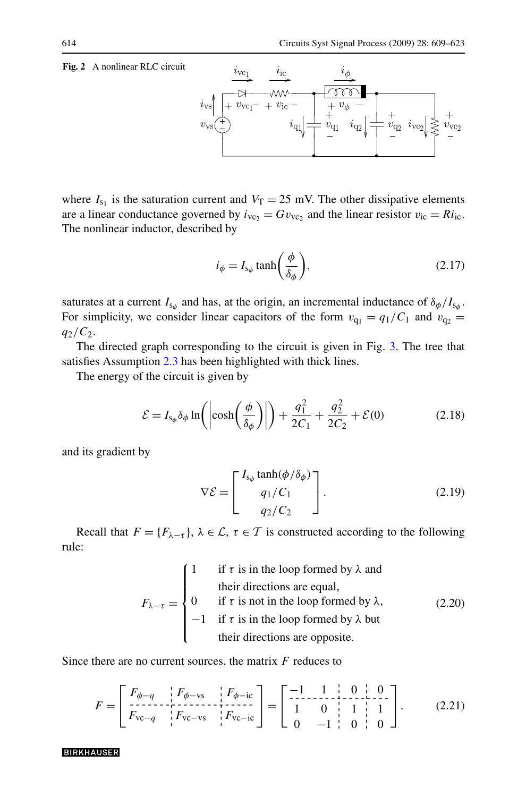## <span id="page-5-0"></span>**Fig. 2** A nonlinear RLC circuit



where  $I_{s_1}$  is the saturation current and  $V_T = 25$  mV. The other dissipative elements are a linear conductance governed by  $i_{\text{vc}_2} = Gv_{\text{vc}_2}$  and the linear resistor  $v_{\text{ic}} = Ri_{\text{ic}}$ . The nonlinear inductor, described by

$$
i_{\phi} = I_{\mathbf{s}_{\phi}} \tanh\left(\frac{\phi}{\delta_{\phi}}\right),\tag{2.17}
$$

saturates at a current  $I_{s_\phi}$  and has, at the origin, an incremental inductance of  $\delta_\phi/I_{s_\phi}$ . For simplicity, we consider linear capacitors of the form  $v_{q_1} = q_1/C_1$  and  $v_{q_2} =$ *q*2*/C*2.

The directed graph corresponding to the circuit is given in Fig. [3.](#page-6-0) The tree that satisfies Assumption [2.3](#page-2-0) has been highlighted with thick lines.

The energy of the circuit is given by

$$
\mathcal{E} = I_{s_{\phi}} \delta_{\phi} \ln \left( \left| \cosh \left( \frac{\phi}{\delta_{\phi}} \right) \right| \right) + \frac{q_1^2}{2C_1} + \frac{q_2^2}{2C_2} + \mathcal{E}(0) \tag{2.18}
$$

and its gradient by

$$
\nabla \mathcal{E} = \begin{bmatrix} I_{s_{\phi}} \tanh(\phi/\delta_{\phi}) \\ q_1/C_1 \\ q_2/C_2 \end{bmatrix} . \tag{2.19}
$$

Recall that  $F = \{F_{\lambda-\tau}\}\$ ,  $\lambda \in \mathcal{L}$ ,  $\tau \in \mathcal{T}$  is constructed according to the following rule:

$$
F_{\lambda-\tau} = \begin{cases} 1 & \text{if } \tau \text{ is in the loop formed by } \lambda \text{ and} \\ 0 & \text{if } \tau \text{ is not in the loop formed by } \lambda, \\ -1 & \text{if } \tau \text{ is in the loop formed by } \lambda \text{ but} \\ \text{their directions are opposite.} \end{cases} \tag{2.20}
$$

Since there are no current sources, the matrix *F* reduces to

$$
F = \begin{bmatrix} F_{\phi-q} & F_{\phi-\text{vs}} & F_{\phi-\text{ic}} \\ \frac{\text{F}_{\text{vc}-q}}{\text{F}_{\text{vc}-q}} & F_{\text{vc}-\text{vs}} & F_{\text{vc}-\text{ic}} \end{bmatrix} = \begin{bmatrix} -1 & 1 & 0 & 0 \\ 1 & 0 & 1 & 1 \\ 0 & -1 & 0 & 0 \end{bmatrix}.
$$
 (2.21)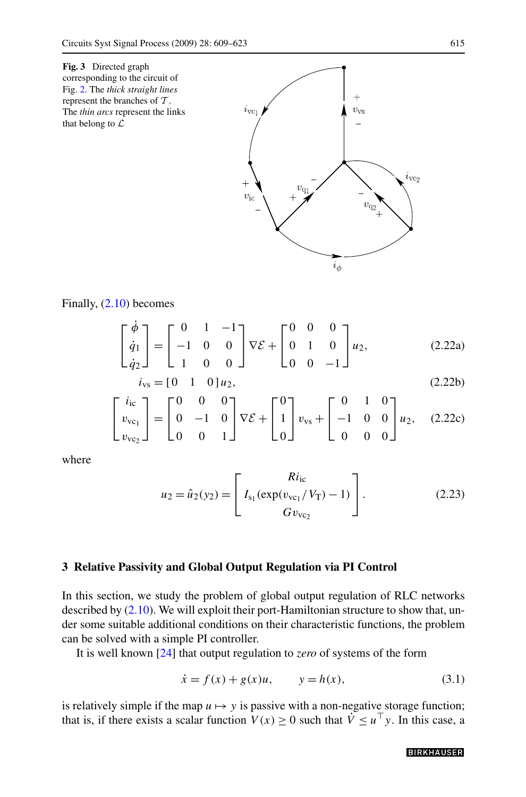<span id="page-6-0"></span>



$$
\begin{bmatrix} \dot{\phi} \\ \dot{q}_1 \\ \dot{q}_2 \end{bmatrix} = \begin{bmatrix} 0 & 1 & -1 \\ -1 & 0 & 0 \\ 1 & 0 & 0 \end{bmatrix} \nabla \mathcal{E} + \begin{bmatrix} 0 & 0 & 0 \\ 0 & 1 & 0 \\ 0 & 0 & -1 \end{bmatrix} u_2,
$$
 (2.22a)

$$
i_{\rm vs} = [0 \quad 1 \quad 0] \, u_2,\tag{2.22b}
$$

$$
\begin{bmatrix} i_{\rm ic} \\ v_{\rm vc_1} \\ v_{\rm vc_2} \end{bmatrix} = \begin{bmatrix} 0 & 0 & 0 \\ 0 & -1 & 0 \\ 0 & 0 & 1 \end{bmatrix} \nabla \mathcal{E} + \begin{bmatrix} 0 \\ 1 \\ 0 \end{bmatrix} v_{\rm vs} + \begin{bmatrix} 0 & 1 & 0 \\ -1 & 0 & 0 \\ 0 & 0 & 0 \end{bmatrix} u_2, \quad (2.22c)
$$

where

$$
u_2 = \hat{u}_2(y_2) = \begin{bmatrix} Ri_{ic} \\ I_{s_1}(\exp(v_{vc_1}/V_{T}) - 1) \\ Gv_{vc_2} \end{bmatrix}.
$$
 (2.23)

### **3 Relative Passivity and Global Output Regulation via PI Control**

In this section, we study the problem of global output regulation of RLC networks described by [\(2.10\)](#page-3-0). We will exploit their port-Hamiltonian structure to show that, under some suitable additional conditions on their characteristic functions, the problem can be solved with a simple PI controller.

It is well known [[24\]](#page-14-0) that output regulation to *zero* of systems of the form

$$
\dot{x} = f(x) + g(x)u, \qquad y = h(x), \tag{3.1}
$$

is relatively simple if the map  $u \mapsto y$  is passive with a non-negative storage function; that is, if there exists a scalar function  $V(x) \ge 0$  such that  $V \le u^{\top}y$ . In this case, a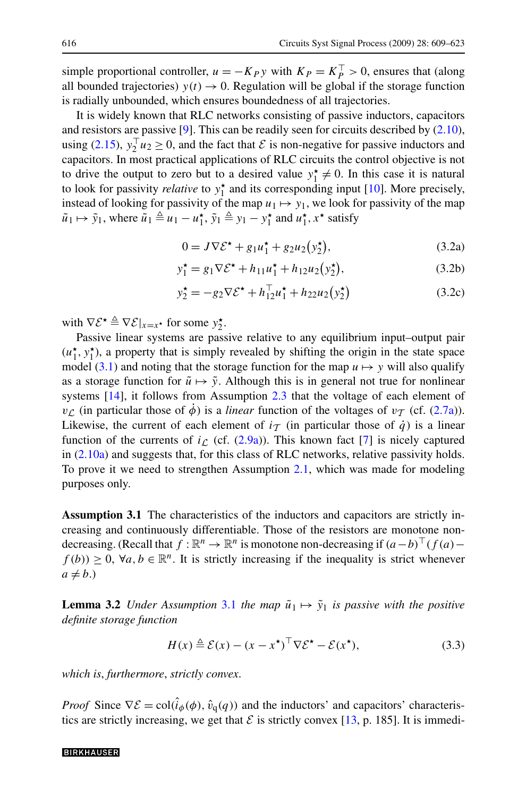<span id="page-7-0"></span>simple proportional controller,  $u = -K_P y$  with  $K_P = K_P^{\top} > 0$ , ensures that (along all bounded trajectories)  $y(t) \rightarrow 0$ . Regulation will be global if the storage function is radially unbounded, which ensures boundedness of all trajectories.

It is widely known that RLC networks consisting of passive inductors, capacitors and resistors are passive [[9\]](#page-14-0). This can be readily seen for circuits described by [\(2.10\)](#page-3-0), using [\(2.15\)](#page-4-0),  $y_2^\top u_2 \ge 0$ , and the fact that  $\mathcal E$  is non-negative for passive inductors and capacitors. In most practical applications of RLC circuits the control objective is not to drive the output to zero but to a desired value  $y_1^* \neq 0$ . In this case it is natural to look for passivity *relative* to  $y_1^*$  and its corresponding input [[10\]](#page-14-0). More precisely, instead of looking for passivity of the map  $u_1 \mapsto y_1$ , we look for passivity of the map  $\tilde{u}_1 \mapsto \tilde{y}_1$ , where  $\tilde{u}_1 \triangleq u_1 - u_1^*$ ,  $\tilde{y}_1 \triangleq y_1 - y_1^*$  and  $u_1^*, x^*$  satisfy

$$
0 = J \nabla \mathcal{E}^{\star} + g_1 u_1^{\star} + g_2 u_2 (y_2^{\star}), \qquad (3.2a)
$$

$$
y_1^* = g_1 \nabla \mathcal{E}^* + h_{11} u_1^* + h_{12} u_2 (y_2^*), \tag{3.2b}
$$

$$
y_2^* = -g_2 \nabla \mathcal{E}^* + h_{12}^\top u_1^* + h_{22} u_2(y_2^*)
$$
 (3.2c)

with  $\nabla \mathcal{E}^{\star} \triangleq \nabla \mathcal{E}|_{x=x^{\star}}$  for some  $y_2^{\star}$ .

Passive linear systems are passive relative to any equilibrium input–output pair  $(u_1^{\star}, y_1^{\star})$ , a property that is simply revealed by shifting the origin in the state space model ([3.1](#page-6-0)) and noting that the storage function for the map  $u \mapsto y$  will also qualify as a storage function for  $\tilde{u} \mapsto \tilde{y}$ . Although this is in general not true for nonlinear systems [\[14](#page-14-0)], it follows from Assumption [2.3](#page-2-0) that the voltage of each element of *v*<sub>C</sub> (in particular those of  $\dot{\phi}$ ) is a *linear* function of the voltages of *v*<sub>T</sub> (cf. ([2.7a](#page-3-0))). Likewise, the current of each element of  $i<sub>T</sub>$  (in particular those of  $\dot{q}$ ) is a linear function of the currents of  $i_L$  (cf.  $(2.9a)$  $(2.9a)$ ). This known fact [\[7](#page-14-0)] is nicely captured in ([2.10a](#page-3-0)) and suggests that, for this class of RLC networks, relative passivity holds. To prove it we need to strengthen Assumption [2.1](#page-1-0), which was made for modeling purposes only.

**Assumption 3.1** The characteristics of the inductors and capacitors are strictly increasing and continuously differentiable. Those of the resistors are monotone nondecreasing. (Recall that *f* :  $\mathbb{R}^n$  →  $\mathbb{R}^n$  is monotone non-decreasing if  $(a-b)$ <sup> $(x)$ </sup> (*f*  $(a)$ −  $f(b)$ ) ≥ 0,  $\forall a, b \in \mathbb{R}^n$ . It is strictly increasing if the inequality is strict whenever  $a \neq b$ .)

**Lemma 3.2** *Under Assumption* 3.1 *the map*  $\tilde{u}_1 \mapsto \tilde{y}_1$  *is passive with the positive definite storage function*

$$
H(x) \triangleq \mathcal{E}(x) - (x - x^{\star})^{\top} \nabla \mathcal{E}^{\star} - \mathcal{E}(x^{\star}),
$$
\n(3.3)

*which is*, *furthermore*, *strictly convex*.

*Proof* Since  $\nabla \mathcal{E} = \text{col}(\hat{i}_{\phi}(\phi), \hat{v}_{q}(q))$  and the inductors' and capacitors' characteristics are strictly increasing, we get that  $\mathcal E$  is strictly convex [\[13](#page-14-0), p. 185]. It is immedi-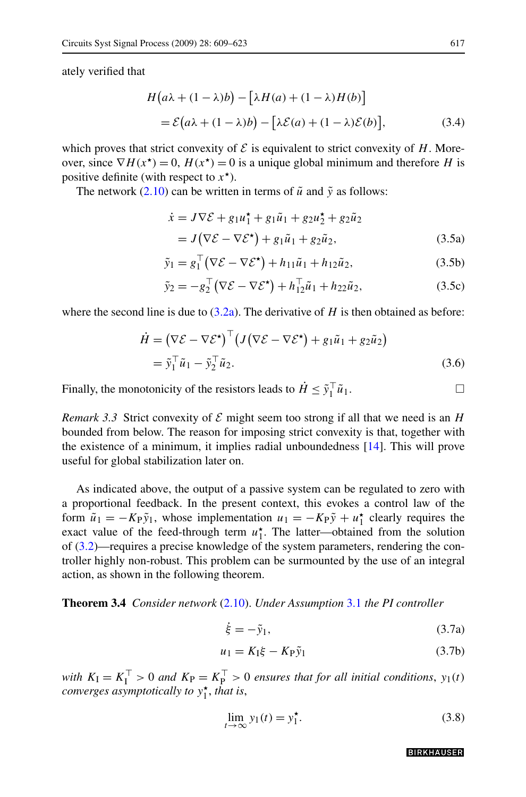<span id="page-8-0"></span>ately verified that

$$
H(a\lambda + (1 - \lambda)b) - [\lambda H(a) + (1 - \lambda)H(b)]
$$
  
=  $\mathcal{E}(a\lambda + (1 - \lambda)b) - [\lambda \mathcal{E}(a) + (1 - \lambda)\mathcal{E}(b)],$  (3.4)

which proves that strict convexity of  $\mathcal E$  is equivalent to strict convexity of  $H$ . Moreover, since  $\nabla H(x^*) = 0$ ,  $H(x^*) = 0$  is a unique global minimum and therefore *H* is positive definite (with respect to  $x^*$ ).

The network  $(2.10)$  can be written in terms of  $\tilde{u}$  and  $\tilde{y}$  as follows:

$$
\dot{x} = J \nabla \mathcal{E} + g_1 u_1^{\star} + g_1 \tilde{u}_1 + g_2 u_2^{\star} + g_2 \tilde{u}_2
$$
  
=  $J(\nabla \mathcal{E} - \nabla \mathcal{E}^{\star}) + g_1 \tilde{u}_1 + g_2 \tilde{u}_2,$  (3.5a)

$$
\tilde{y}_1 = g_1^\top (\nabla \mathcal{E} - \nabla \mathcal{E}^\star) + h_{11} \tilde{u}_1 + h_{12} \tilde{u}_2,\tag{3.5b}
$$

$$
\tilde{y}_2 = -g_2^{\top} (\nabla \mathcal{E} - \nabla \mathcal{E}^{\star}) + h_{12}^{\top} \tilde{u}_1 + h_{22} \tilde{u}_2, \tag{3.5c}
$$

where the second line is due to  $(3.2a)$  $(3.2a)$ . The derivative of *H* is then obtained as before:

$$
\dot{H} = (\nabla \mathcal{E} - \nabla \mathcal{E}^*)^{\top} (J(\nabla \mathcal{E} - \nabla \mathcal{E}^*) + g_1 \tilde{u}_1 + g_2 \tilde{u}_2)
$$
  
=  $\tilde{y}_1^{\top} \tilde{u}_1 - \tilde{y}_2^{\top} \tilde{u}_2.$  (3.6)

Finally, the monotonicity of the resistors leads to  $\dot{H} \leq \tilde{y}_1^\top \tilde{u}_1$ .

*Remark 3.3* Strict convexity of  $\mathcal E$  might seem too strong if all that we need is an *H* bounded from below. The reason for imposing strict convexity is that, together with the existence of a minimum, it implies radial unboundedness [\[14](#page-14-0)]. This will prove useful for global stabilization later on.

As indicated above, the output of a passive system can be regulated to zero with a proportional feedback. In the present context, this evokes a control law of the form  $\tilde{u}_1 = -K_P \tilde{y}_1$ , whose implementation  $u_1 = -K_P \tilde{y} + u_1^*$  clearly requires the exact value of the feed-through term  $u_1^*$ . The latter—obtained from the solution of [\(3.2](#page-7-0))—requires a precise knowledge of the system parameters, rendering the controller highly non-robust. This problem can be surmounted by the use of an integral action, as shown in the following theorem.

**Theorem 3.4** *Consider network* [\(2.10\)](#page-3-0). *Under Assumption* [3.1](#page-7-0) *the PI controller*

$$
\dot{\xi} = -\tilde{y}_1,\tag{3.7a}
$$

$$
u_1 = K_1 \xi - K_P \tilde{y}_1 \tag{3.7b}
$$

*with*  $K_I = K_I^{\top} > 0$  *and*  $K_P = K_P^{\top} > 0$  *ensures that for all initial conditions*,  $y_1(t)$ *converges asymptotically to*  $y_1^{\star}$ *, that is,* 

$$
\lim_{t \to \infty} y_1(t) = y_1^*.
$$
\n(3.8)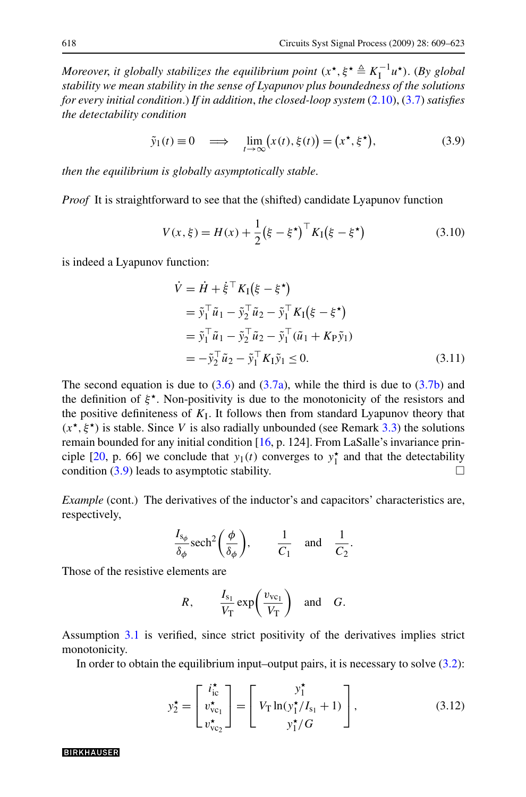*Moreover, it globally stabilizes the equilibrium point*  $(x^*, \xi^* \triangleq K_1^{-1}u^*)$ . (*By global stability we mean stability in the sense of Lyapunov plus boundedness of the solutions for every initial condition*.) *If in addition*, *the closed-loop system* ([2.10\)](#page-3-0), [\(3.7\)](#page-8-0) *satisfies the detectability condition*

$$
\tilde{y}_1(t) \equiv 0 \quad \Longrightarrow \quad \lim_{t \to \infty} (x(t), \xi(t)) = (x^*, \xi^*), \tag{3.9}
$$

*then the equilibrium is globally asymptotically stable*.

*Proof* It is straightforward to see that the (shifted) candidate Lyapunov function

$$
V(x,\xi) = H(x) + \frac{1}{2} (\xi - \xi^{\star})^{\top} K_{I} (\xi - \xi^{\star})
$$
 (3.10)

is indeed a Lyapunov function:

$$
\dot{V} = \dot{H} + \dot{\xi}^{\top} K_{I} (\xi - \xi^{\star})
$$
\n
$$
= \tilde{y}_{1}^{\top} \tilde{u}_{1} - \tilde{y}_{2}^{\top} \tilde{u}_{2} - \tilde{y}_{1}^{\top} K_{I} (\xi - \xi^{\star})
$$
\n
$$
= \tilde{y}_{1}^{\top} \tilde{u}_{1} - \tilde{y}_{2}^{\top} \tilde{u}_{2} - \tilde{y}_{1}^{\top} (\tilde{u}_{1} + K_{P} \tilde{y}_{1})
$$
\n
$$
= -\tilde{y}_{2}^{\top} \tilde{u}_{2} - \tilde{y}_{1}^{\top} K_{I} \tilde{y}_{1} \leq 0. \qquad (3.11)
$$

The second equation is due to  $(3.6)$  and  $(3.7a)$  $(3.7a)$ , while the third is due to  $(3.7b)$  and the definition of  $\xi^*$ . Non-positivity is due to the monotonicity of the resistors and the positive definiteness of *K*I. It follows then from standard Lyapunov theory that  $(x^*, \xi^*)$  is stable. Since *V* is also radially unbounded (see Remark [3.3\)](#page-8-0) the solutions remain bounded for any initial condition [\[16](#page-14-0), p. 124]. From LaSalle's invariance prin-ciple [\[20](#page-14-0), p. 66] we conclude that  $y_1(t)$  converges to  $y_1^*$  and that the detectability condition  $(3.9)$  leads to asymptotic stability.

*Example* (cont.) The derivatives of the inductor's and capacitors' characteristics are, respectively,

$$
\frac{I_{s_{\phi}}}{\delta_{\phi}} \operatorname{sech}^{2}\left(\frac{\phi}{\delta_{\phi}}\right), \qquad \frac{1}{C_{1}} \quad \text{and} \quad \frac{1}{C_{2}}.
$$

Those of the resistive elements are

$$
R, \qquad \frac{I_{s_1}}{V_{\rm T}} \exp\left(\frac{v_{\rm vc_1}}{V_{\rm T}}\right) \quad \text{and} \quad G.
$$

Assumption [3.1](#page-7-0) is verified, since strict positivity of the derivatives implies strict monotonicity.

In order to obtain the equilibrium input–output pairs, it is necessary to solve  $(3.2)$  $(3.2)$  $(3.2)$ :

$$
y_2^{\star} = \begin{bmatrix} i_{\text{ic}}^{\star} \\ v_{\text{vc}_1}^{\star} \\ v_{\text{vc}_2}^{\star} \end{bmatrix} = \begin{bmatrix} y_1^{\star} \\ V_{\text{T}} \ln(y_1^{\star}/I_{s_1} + 1) \\ y_1^{\star}/G \end{bmatrix},
$$
(3.12)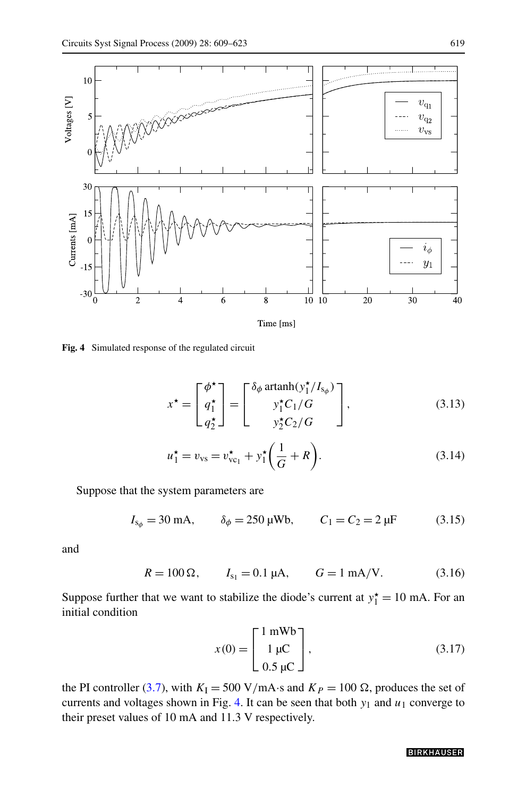

**Fig. 4** Simulated response of the regulated circuit

$$
x^* = \begin{bmatrix} \phi^* \\ q_1^* \\ q_2^* \end{bmatrix} = \begin{bmatrix} \delta_\phi \operatorname{artanh}(y_1^* / I_{s_\phi}) \\ y_1^* C_1 / G \\ y_2^* C_2 / G \end{bmatrix},
$$
(3.13)

$$
u_1^* = v_{\rm vs} = v_{\rm vc_1}^* + y_1^* \left(\frac{1}{G} + R\right).
$$
 (3.14)

Suppose that the system parameters are

$$
I_{s_{\phi}} = 30 \text{ mA}, \qquad \delta_{\phi} = 250 \text{ }\mu\text{Wb}, \qquad C_1 = C_2 = 2 \text{ }\mu\text{F}
$$
 (3.15)

and

$$
R = 100 \Omega
$$
,  $I_{s_1} = 0.1 \mu A$ ,  $G = 1 \text{ mA/V}$ . (3.16)

Suppose further that we want to stabilize the diode's current at  $y_1^* = 10$  mA. For an initial condition

$$
x(0) = \begin{bmatrix} 1 \text{ mWb} \\ 1 \text{ }\mu\text{C} \\ 0.5 \text{ }\mu\text{C} \end{bmatrix},\tag{3.17}
$$

the PI controller [\(3.7\)](#page-8-0), with  $K_I = 500 \text{ V/mA} \cdot \text{s}$  and  $K_P = 100 \Omega$ , produces the set of currents and voltages shown in Fig. 4. It can be seen that both  $y_1$  and  $u_1$  converge to their preset values of 10 mA and 11.3 V respectively.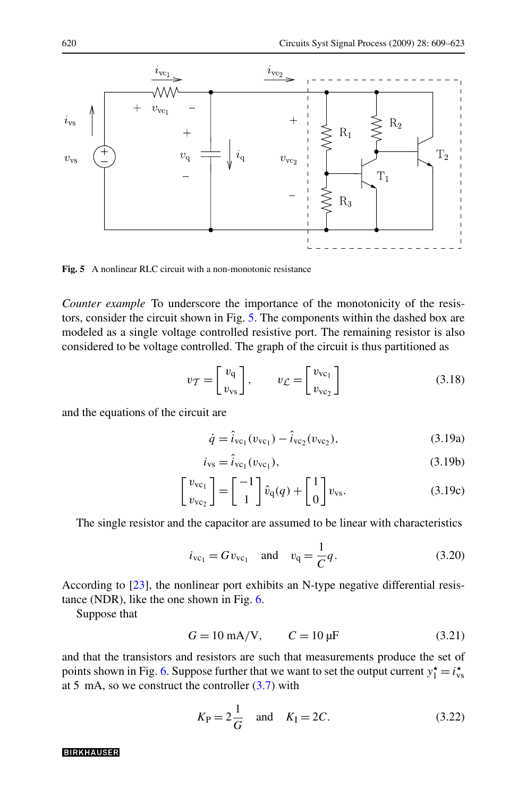

**Fig. 5** A nonlinear RLC circuit with a non-monotonic resistance

*Counter example* To underscore the importance of the monotonicity of the resistors, consider the circuit shown in Fig. 5. The components within the dashed box are modeled as a single voltage controlled resistive port. The remaining resistor is also considered to be voltage controlled. The graph of the circuit is thus partitioned as

$$
v_{\mathcal{T}} = \begin{bmatrix} v_{\mathbf{q}} \\ v_{\mathbf{vs}} \end{bmatrix}, \qquad v_{\mathcal{L}} = \begin{bmatrix} v_{\mathbf{vo}_1} \\ v_{\mathbf{vo}_2} \end{bmatrix}
$$
(3.18)

and the equations of the circuit are

$$
\dot{q} = \hat{i}_{\text{vc}_1}(v_{\text{vc}_1}) - \hat{i}_{\text{vc}_2}(v_{\text{vc}_2}),
$$
\n(3.19a)

$$
i_{\rm vs} = \hat{i}_{\rm vc_1}(v_{\rm vc_1}),\tag{3.19b}
$$

$$
\begin{bmatrix} v_{\text{vc}_1} \\ v_{\text{vc}_2} \end{bmatrix} = \begin{bmatrix} -1 \\ 1 \end{bmatrix} \hat{v}_{\text{q}}(q) + \begin{bmatrix} 1 \\ 0 \end{bmatrix} v_{\text{vs}}.
$$
 (3.19c)

The single resistor and the capacitor are assumed to be linear with characteristics

$$
i_{\text{vc}_1} = G v_{\text{vc}_1}
$$
 and  $v_q = \frac{1}{C} q$ . (3.20)

According to [\[23](#page-14-0)], the nonlinear port exhibits an N-type negative differential resistance (NDR), like the one shown in Fig. [6.](#page-12-0)

Suppose that

$$
G = 10 \text{ mA/V}, \qquad C = 10 \text{ µF}
$$
 (3.21)

and that the transistors and resistors are such that measurements produce the set of points shown in Fig. [6](#page-12-0). Suppose further that we want to set the output current  $y_1^* = i_{\text{vs}}^*$ at 5 mA, so we construct the controller  $(3.7)$  with

$$
K_{\rm P} = 2\frac{1}{G}
$$
 and  $K_{\rm I} = 2C$ . (3.22)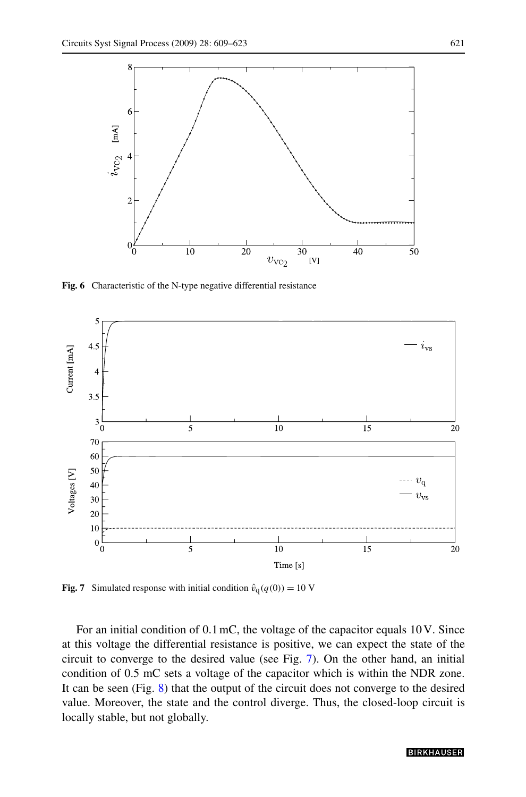<span id="page-12-0"></span>

**Fig. 6** Characteristic of the N-type negative differential resistance



**Fig. 7** Simulated response with initial condition  $\hat{v}_q(q(0)) = 10$  V

For an initial condition of 0*.*1 mC, the voltage of the capacitor equals 10 V. Since at this voltage the differential resistance is positive, we can expect the state of the circuit to converge to the desired value (see Fig. 7). On the other hand, an initial condition of 0.5 mC sets a voltage of the capacitor which is within the NDR zone. It can be seen (Fig. [8](#page-13-0)) that the output of the circuit does not converge to the desired value. Moreover, the state and the control diverge. Thus, the closed-loop circuit is locally stable, but not globally.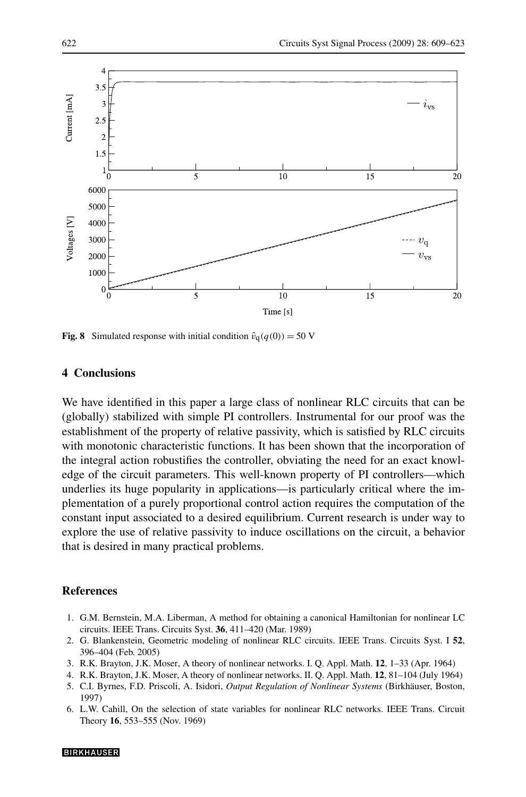<span id="page-13-0"></span>

**Fig. 8** Simulated response with initial condition  $\hat{v}_q(q(0)) = 50$  V

# **4 Conclusions**

We have identified in this paper a large class of nonlinear RLC circuits that can be (globally) stabilized with simple PI controllers. Instrumental for our proof was the establishment of the property of relative passivity, which is satisfied by RLC circuits with monotonic characteristic functions. It has been shown that the incorporation of the integral action robustifies the controller, obviating the need for an exact knowledge of the circuit parameters. This well-known property of PI controllers—which underlies its huge popularity in applications—is particularly critical where the implementation of a purely proportional control action requires the computation of the constant input associated to a desired equilibrium. Current research is under way to explore the use of relative passivity to induce oscillations on the circuit, a behavior that is desired in many practical problems.

### **References**

- 1. G.M. Bernstein, M.A. Liberman, A method for obtaining a canonical Hamiltonian for nonlinear LC circuits. IEEE Trans. Circuits Syst. **36**, 411–420 (Mar. 1989)
- 2. G. Blankenstein, Geometric modeling of nonlinear RLC circuits. IEEE Trans. Circuits Syst. I **52**, 396–404 (Feb. 2005)
- 3. R.K. Brayton, J.K. Moser, A theory of nonlinear networks. I. Q. Appl. Math. **12**, 1–33 (Apr. 1964)
- 4. R.K. Brayton, J.K. Moser, A theory of nonlinear networks. II. Q. Appl. Math. **12**, 81–104 (July 1964)
- 5. C.I. Byrnes, F.D. Priscoli, A. Isidori, *Output Regulation of Nonlinear Systems* (Birkhäuser, Boston, 1997)
- 6. L.W. Cahill, On the selection of state variables for nonlinear RLC networks. IEEE Trans. Circuit Theory **16**, 553–555 (Nov. 1969)